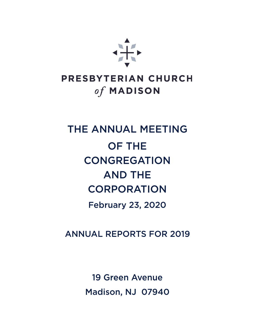

### PRESBYTERIAN CHURCH of MADISON

# THE ANNUAL MEETING **OF THE CONGREGATION AND THE CORPORATION February 23, 2020**

**ANNUAL REPORTS FOR 2019** 

**19 Green Avenue** Madison, NJ 07940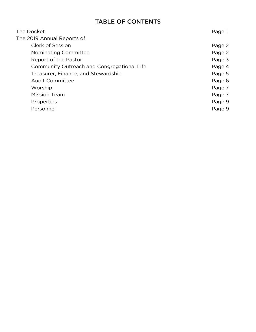#### **TABLE OF CONTENTS**

| The Docket                                 | Page 1 |
|--------------------------------------------|--------|
| The 2019 Annual Reports of:                |        |
| Clerk of Session                           | Page 2 |
| Nominating Committee                       | Page 2 |
| Report of the Pastor                       | Page 3 |
| Community Outreach and Congregational Life | Page 4 |
| Treasurer, Finance, and Stewardship        | Page 5 |
| <b>Audit Committee</b>                     | Page 6 |
| Worship                                    | Page 7 |
| <b>Mission Team</b>                        | Page 7 |
| Properties                                 | Page 9 |
| Personnel                                  | Page 9 |
|                                            |        |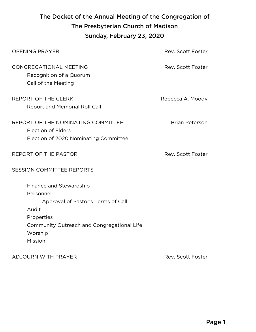### The Docket of the Annual Meeting of the Congregation of The Presbyterian Church of Madison Sunday, February 23, 2020

| <b>OPENING PRAYER</b>                                                                                                                                                 | Rev. Scott Foster     |  |  |
|-----------------------------------------------------------------------------------------------------------------------------------------------------------------------|-----------------------|--|--|
| CONGREGATIONAL MEETING<br>Recognition of a Quorum<br>Call of the Meeting                                                                                              | Rev. Scott Foster     |  |  |
| REPORT OF THE CLERK<br>Report and Memorial Roll Call                                                                                                                  | Rebecca A. Moody      |  |  |
| REPORT OF THE NOMINATING COMMITTEE<br><b>Election of Elders</b><br>Election of 2020 Nominating Committee                                                              | <b>Brian Peterson</b> |  |  |
| REPORT OF THE PASTOR                                                                                                                                                  | Rev. Scott Foster     |  |  |
| <b>SESSION COMMITTEE REPORTS</b>                                                                                                                                      |                       |  |  |
| Finance and Stewardship<br>Personnel<br>Approval of Pastor's Terms of Call<br>Audit<br>Properties<br>Community Outreach and Congregational Life<br>Worship<br>Mission |                       |  |  |

ADJOURN WITH PRAYER REV. THE STATE STATE STATE STATE STATE STATE STATE STATE STATE STATE STATE STATE STATE STA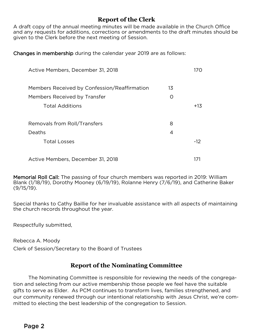#### **Report of the Clerk**

A draft copy of the annual meeting minutes will be made available in the Church Office<br>and any requests for additions, corrections or amendments to the draft minutes should be given to the Clerk before the next meeting of Session. given to the Clerk before the next meeting of Session.

Changes in membership during the calendar year 2019 are as follows: Changes in membership during the calendar year 2019 are as follows:

| Active Members, December 31, 2018            |                  |       |  |
|----------------------------------------------|------------------|-------|--|
| Members Received by Confession/Reaffirmation | 13               |       |  |
| Members Received by Transfer                 | $\left( \right)$ |       |  |
| <b>Total Additions</b>                       |                  | $+13$ |  |
| Removals from Roll/Transfers                 | 8                |       |  |
| Deaths                                       | 4                |       |  |
| <b>Total Losses</b>                          |                  | $-12$ |  |
| Active Members, December 31, 2018            |                  |       |  |

**Memorial Roll Call:** The passing of four church members was reported in 2019: William<br>Blank (1/18/19), Dorothy Mooney (6/19/19), Rolanne Henry (7/6/19), and Catherine Baker  $(9/15/19)$ ,  $(9/15/19)$ ,  $(9/15/19)$ ,  $(9/15/19)$ ,  $(9/15/19)$ ,  $(9/15/19)$ ,  $(9/15/19)$  $(9, 15)$ .

 $S_{\rm F}$  the church records throughout the year. the church records throughout the year.

Respectfully submitted,

Rebecca A. Moody<br>Clerk of Session/Secretary to the Board of Trustees Clerk of Session/Secretary to the Board of Trustees

#### **Report of the Nominating Committee**

The Nominating Committee is responsible for reviewing the needs of the congrega-<br>tion and selecting from our active membership those people we feel have the suitable gifts to serve as Elder. As PCM continues to transform lives, families strengthened, and our community renewed through our intentional relationship with Jesus Christ, we're committed to electing the best leadership of the congregation to Session. mitted to electing the best leadership of the congregation to Session.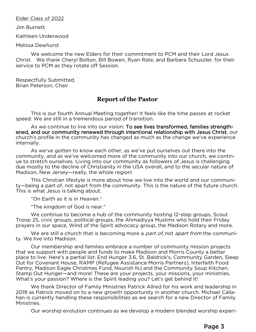## Elder Class of 2022<br>Jim Burnett

Jim Burnett

Kathleen Underwood

Melissa Dewhurst

We welcome the new Elders for their commitment to PCM and their Lord Jesus<br>Christ. We thank Cheryl Bolton, Bill Bowen, Ryan Rate, and Barbara Schuszler, for their service to PCM as they rotate off Session. service to PCM as they rotate off Session.

Respectfully Submitted,<br>Brian Peterson, Chair Brian Peterson, Chair

#### **Report of the Pastor**

This is our fourth Annual Meeting together! It feels like the time passes at rocket speed. We are still in a tremendous period of transition.

As we continue to live into our vision: To see lives transformed, families strengthened, and our community renewed through intentional relationship with Jesus Christ, our ened, and our community renewed and our community intertional relationship with Jesus Christ, our community re<br>church's profile in the community has changed as much as the change we've experience church's profile in the community has changed as much as the change we've experience internally.<br>As we've gotten to know each other, as we've put ourselves out there into the

community, and as we've welcomed more of the community into our church, we continue to stretch ourselves. Living into our community as followers of Jesus is challenging due mostly to the decline of Christianity in the USA overall, and to the secular nature of Madison, New Jersey-really, the whole region!

This Christian lifestyle is more about how we live into the world and our community-being a part of, not apart from the community. This is the nature of the future church. This is what Jesus is talking about.

"On Earth as it is in Heaven."

"The kingdom of God is near."

We continue to become a hub of the community hosting 12-step groups, Scout Troop 25, civic groups, political groups, the Ahmadiyya Muslims who hold their Friday prayers in our space, Wind of the Spirit advocacy group, the Madison Rotary and more.

prayers in our space, Wind of the Spirit advocacy group, the Madison Rotary and more. We are still a church that is becoming more a *part of*, not *apart from* the communi-<br>I live into Madison. ty. We live into Madison.<br>Our membership and families embrace a number of community mission projects

that we support with people and funds to make Madison and Morris County a better place to live. Here's a partial list: End Hunger 3.6, St. Baldrick's, Community Garden, Sleep Out for Covenant House, RAMP (Refugee Assistance Morris Partners), Interfaith Food Pantry, Madison Eagle Christmas Fund, Nourish NJ and the Community Soup Kitchen, Stamp Out Hunger—and more! These are your projects, your missions, your ministries. What's your passion? Where is the Spirit leading you? Let's get behind it!

We thank Director of Family Ministries Patrick Allred for his work and leadership in 2019 as Patrick moved on to a new growth opportunity in another church. Michael Callahan is currently handling these responsibilities as we search for a new Director of Family handling these responsibilities as we see responsibilities as we see responsibilities as we see  $\mathcal{I}$ Ministries.

Our worship evolution continues as we develop a modern blended worship experi-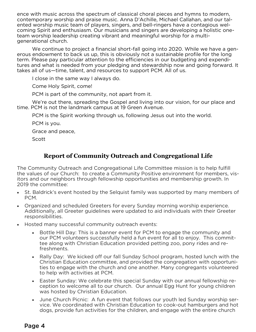ence with music across the spectrum of classical choral pieces and hymns to modern,<br>contemporary worship and praise music. Anna D'Achille, Michael Callahan, and our talented worship music team of players, singers, and bell-ringers have a contagious welcoming Spirit and enthusiasm. Our musicians and singers are developing a holistic oneteam worship leadership creating vibrant and meaningful worship for a multigenerational church.

We continue to project a financial short-fall going into 2020. While we have a generous endowment to back us up, this is obviously not a sustainable profile for the long term. Please pay particular attention to the efficiencies in our budgeting and expenditures and what is needed from your pledging and stewardship now and going forward. It takes all of us-time, talent, and resources to support PCM. All of us.

I close in the same way I always do.

Come Holy Spirit, come!

PCM is part of the community, not apart from it.

We're out there, spreading the Gospel and living into our vision, for our place and time. PCM is not the landmark campus at 19 Green Avenue.

PCM is the Spirit working through us, following Jesus out into the world. PCM is the Spirit working through us, following Jesus out into the world.

PCM is you.<br>Grace and peace, Grace and peace,

Scott

#### **Report of Community Outreach and Congregational Life**

The Community Outreach and Congregational Life Committee mission is to help fulfill itors and our neighbors through fellowship opportunities and membership growth. In 2019 the committee:

- $20.5$  the committee • St. Baldrick's event hosted by the Selquist family was supported by many members of PCM.<br>• Organized and scheduled Greeters for every Sunday morning worship experience.
- Additionally, all Greeter guidelines were updated to aid individuals with their Greeter responsibilities.
- responsibilities. • Hosted many successful community outreach events:
	- Bottle Hill Day: This is a banner event for PCM to engage the community and<br>our PCM volunteers successfully held a fun event for all to eniov. This committee along with Christian Education provided petting zoo, pony rides and refreshments.
	- $f(x) = \frac{1}{2}$ • Rally Day: We kicked off our fall Sunday School program, hosted lunch with the Christian Education committee, and provided the congregation with opportunito help with activities at PCM.
	- to help with activities at PCM. • Easter Sunday: We celebrate this special Sunday with our annual fellowship reception to welcome all to our church. Our annual Egg Hunt for young children
	- June Church Picnic: A fun event that follows our youth led Sunday worship service. We coordinated with Christian Education to cook-out hamburgers and hot dogs, provide fun activities for the children, and engage with the entire church dogs, provide fun activities for the children, and engage with the entire church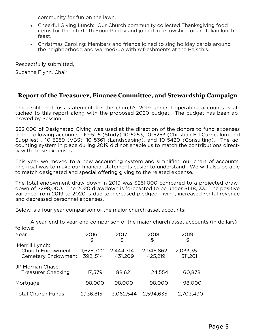- community for fun on the lawn.<br>• Cheerful Giving Lunch: Our Church community collected Thanksgiving food items for the Interfaith Food Pantry and joined in fellowship for an Italian lunch items for the Interfaith Food Pantry and joined in fellowship for an Italian lunch
- $\frac{1}{2}$ • Christmas Caroling: Members and friends joined to sing holiday carols around the neighborhood and warmed-up with refreshments at the Baisch's. the neighborhood and warmed-up with refreshments at the Baisch's.

Respectfully submitted,<br>Suzanne Flynn, Chair

Suzanne Flynn, Chair

#### **Report of the Treasurer, Finance Committee, and Stewardship Campaign**

The profit and loss statement for the church's 2019 general operating accounts is at-<br>tached to this report along with the proposed 2020 budget. The budget has been approved by Session. proved by Session.

\$32,000 of Designated Giving was used at the direction of the donors to fund expenses<br>in the following accounts: 10-5115 (Study) 10-5253, 10-5253 (Christian Ed Curriculum and Supplies),  $10-5259$  (VBS),  $10-5361$  (Landscaping), and  $10-5420$  (Consulting). The accounting system in place during 2019 did not enable us to match the contributions directly with those expenses. ly with those expenses.

This year we moved to a new accounting system and simplified our chart of accounts.<br>The goal was to make our financial statements easier to understand. We will also be able to match designated and special offering giving to the related expense. to match designated and special offering giving to the related expense.

The total endowment draw down in 2019 was \$251,000 compared to a projected drawvariance from 2019 to 2020 is due to increased pledged giving, increased rental revenue and decreased personnel expenses. and decreased personnel expenses.

Below is a four year comparison of the major church asset accounts:

| A year-end to year-end comparison of the major church asset accounts (in dollars) |                       |                      |                      |                      |  |  |  |
|-----------------------------------------------------------------------------------|-----------------------|----------------------|----------------------|----------------------|--|--|--|
| follows:                                                                          |                       |                      |                      |                      |  |  |  |
| Year                                                                              | 2016<br>\$            | 2017<br>\$           | 2018<br>\$           | 2019<br>\$           |  |  |  |
| Merrill Lynch:<br><b>Church Endowment</b><br>Cemetery Endowment                   | 1,628,722<br>392,,514 | 2,444,714<br>431,209 | 2,046,862<br>425,219 | 2,033,351<br>511,261 |  |  |  |
| JP Morgan Chase:<br><b>Treasurer Checking</b>                                     | 17,579                | 88,621               | 24,554               | 60,878               |  |  |  |
| Mortgage                                                                          | 98,000                | 98,000               | 98,000               | 98,000               |  |  |  |
| <b>Total Church Funds</b>                                                         | 2,136,815             | 3,062,544            | 2,594,635            | 2,703,490            |  |  |  |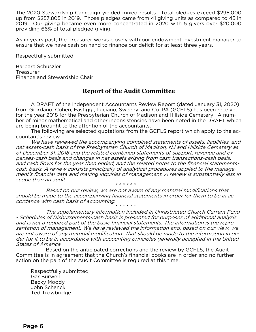The 2020 Stewardship Campaign yielded mixed results. Total pledges exceed \$295,000 2019. Our giving became even more concentrated in 2020 with 5 givers over \$20,000 providing 66% of total pledged giving. providing 66% of total pledged giving.

As in years past, the Treasurer works closely with our endowment investment manager to ensure that we have cash on hand to finance our deficit for at least three years. ensure that we have cash on hand to finance our deficit for at least three years.

Respectfully submitted,

Barbara Schuszler Treasurer Finance and Stewardship Chair Finance and Stewardship Chair

#### **Report of the Audit Committee**

A DRAFT of the Independent Accountants Review Report (dated January 31, 2020) for the year 2018 for the Presbyterian Church of Madison and Hillside Cemetery. A number of minor mathematical and other inconsistencies have been noted in the DRAFT which are being brought to the attention of the accountants.

are being brought to the attention of the accountants. The following are selected quotations from the GCFLS report which apply to the ac-

We have reviewed the accompanying combined statements of assets, liabilities, and net assets-cash basis of the Presbyterian Church of Madison, NJ and Hillside Cemetery as of December 31, 2018 and the related combined statements of support, revenue and expenses-cash basis and changes in net assets arising from cash transactions-cash basis, and cash flows for the year then ended, and the related notes to the financial statementscash basis. A review consists principally of analytical procedures applied to the management's financial data and making inquiries of management. A review is substantially less in scope than an audit. \* \* \* \* \* \*

Based on our review, we are not aware of any material modifications that should be made to the accompanying financial statements in order for them to be in accordance with cash basis of accounting. \* \* \* \* \* \*

The supplementary information included in Unrestricted Church Current Fund - Schedules of Disbursements-cash basis is presented for purposes of additional analysis and is not a required part of the basic financial statements. The information is the representation of management. We have reviewed the information and, based on our view, we are not aware of any material modifications that should be made to the information in order for it to be in accordance with accounting principles generally accepted in the United States of America.

Based on the anticipated corrections and the review by GCFLS, the Audit<br>Committee is in agreement that the Church's financial books are in order and no further committee is in agreement that the Church's municipal action are in order and no further action on the part of the Audit Committee is required at this time.

Respectfully submitted,<br>Gar Burwell Becky Moody John Schanck Ted Trowbridge Ted Trowbridge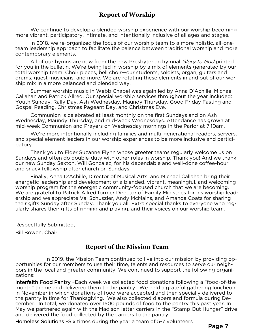#### **Report of Worship**

We continue to develop a blended worship experience with our worship becoming<br>more vibrant, participatory, intimate, and intentionally inclusive of all ages and stages.

In 2018, we re-organized the focus of our worship team to a more holistic, all-oneteam leadership approach to facilitate the balance between traditional worship and more contemporary elements.

contemporary elements. All of our hymns are now from the new Presbyterian hymnal *Glory to God* printed<br>u in the bulletin. We're being led in worship by a mix of elements generated by our for you in the bulletin. We're being led in worship by a mix of elements generated by our total worship team: Choir pieces, bell choir-our students, soloists, organ, guitars and drums, guest musicians, and more. We are rotating these elements in and out of our worship mix in a more balanced and blended way.

Summer worship music in Webb Chapel was again led by Anna D'Achille, Michael Callahan and Patrick Allred. Our special worship services throughout the year included: Youth Sunday, Rally Day, Ash Wednesday, Maundy Thursday, Good Friday Fasting and Gospel Reading, Christmas Pageant Day, and Christmas Eve.

Communion is celebrated at least monthly on the first Sundays and on Ash Wednesday, Maundy Thursday, and mid-week Wednesdays. Attendance has grown at mid-week Communion and Prayers on Wednesday mornings in the Parlor at 7:10am.

We're more intentionally including families and multi-generational readers, servers, and special element leaders in our worship experiences to be more inclusive and particiand special element leaders in our worship experiences to be more inclusive and partici-

patory. Thank you to Elder Suzanne Flynn whose greeter teams regularly welcome us on<br>Sundays and often do double-duty with other roles in worship. Thank you! And we thank our new Sunday Sexton, Will Gonzalez, for his dependable and well-done coffee-hour and snack fellowship after church on Sundays.

Finally, Anna D'Achille, Director of Musical Arts, and Michael Callahan bring their energetic leadership and development of a blended, vibrant, meaningful, and welcoming worship program for the energetic community-focused church that we are becoming. We are grateful to Patrick Allred former Director of Family Ministries for his worship leadership and we appreciate Val Schuszler, Andy McMains, and Amanda Coats for sharing their gifts Sunday after Sunday. Thank you all! Extra special thanks to everyone who regularly shares their gifts of ringing and playing, and their voices on our worship team. ularly shares their gifts of ringing and playing, and their voices on our worship team.

Respectfully Submitted,<br>Bill Bowen, Chair

Bill Bowen, Chair

#### **Report of the Mission Team**

In 2019, the Mission Team continued to live into our mission by providing op-<br>portunities for our members to use their time, talents and resources to serve our neighbors in the local and greater community. We continued to support the following organibors in the local and greater community. We continued to support the following organi-

Interfaith Food Pantry - Each week we collected food donations following a "food-of-the month" theme and delivered them to the pantry. We held a grateful gathering luncheon in November in which donations of food were accepted and then specially delivered to the pantry in time for Thanksgiving. We also collected diapers and formula during Dethe pantry in total, we donated over 1500 pounds of food to the pantry this past year. In May we partnered again with the Madison letter carriers in the "Stamp Out Hunger" drive and delivered the food collected by the carriers to the pantry.

Homeless Solutions -Six times during the year a team of 5-7 volunteers  $\mathcal{S}$  solutions solutions during the year and  $\mathcal{S}$  team of  $\mathcal{S}$  volumes  $\mathcal{S}$ 

Page 7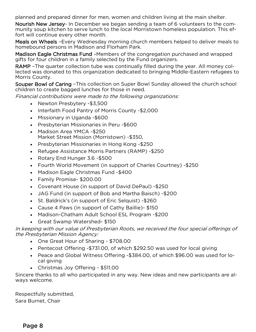planned and prepared dinner for men, women and children living at the main shelter.<br>**Nourish New Jersev-** In December we began sending a team of 6 volunteers to the community soup kitchen to serve lunch to the local Morristown homeless population. This effort will continue every other month.

Meals on Wheels -Every Wednesday morning church members helped to deliver meals to homebound persons in Madison and Florham Park.

Madison Eagle Christmas Fund -Members of the congregation purchased and wrapped gifts for four children in a family selected by the Fund organizers.

RAMP - The quarter collection tube was continually filled during the year. All money collected was donated to this organization dedicated to bringing Middle-Eastern refugees to Morris County.

Souper Bowl of Caring -This collection on Super Bowl Sunday allowed the church school children to create bagged lunches for those in need.

children to create bagged lunches for those in need. Financial contributions were made to the following organizations:

- Newton Presbytery -\$3,500
- Interfaith Food Pantry of Morris County -\$2,000<br>• Missionary in Uganda -\$600
- Missionary in Uganda -\$600
- Presbyterian Missionaries in Peru -\$600<br>• Madison Area YMCA -\$250
- Market Street Mission (Morristown) \$350,
- Market Street Mooren, (Morristown) post, • Presbyterian Missionaries in Hong Kong -\$250
- Refugee Assistance Morris Partners (RAMP) -\$250<br>• Rotary End Hunger 3.6 -\$500
- Rotary End Hunger 3.6 -\$500
- Fourth World Movement (in support of Charles Courtney) -\$250<br>• Madison Fagle Christmas Fund -\$400
- Madison Eagle Christmas Fund -\$400<br>• Family Promise- \$200.00
- Family Promise- \$200.00
- Covenant House (in support of David DePaul) -\$250<br>• JAG Fund (in support of Bob and Martha Baisch) -\$2
- JAG Fund (in support of Bob and Martha Baisch) -\$200<br>• St. Baldrick's (in support of Eric Selquist) -\$260
- St. Baldrick's (in support of Eric Selquist) -\$260
- Cause 4 Paws (in support of Cathy Baillie)- \$150
- Madison-Chatham Adult School ESL Program -\$200
- Great Swamp Watershed- \$150

In keeping with our value of Presbyterian Roots, we received the four special offerings of the Presbyterian Mission Agency:

- One Great Hour of Sharing \$708.00
- Pentecost Offering -\$731.00, of which \$292.50 was used for local giving
- Peace and Global Witness Offering -\$384.00, of which \$96.00 was used for lo-
- cal gives and given a given a given a given a given a given a given a given a given a given a given a given a g • Christmas Joy Offering - \$511.00

Sincere thanks to all who participated in any way. New ideas and new participants are al-<br>ways welcome. ways welcome.

Respectfully submitted,<br>Sara Burnet, Chair Sara Burnet, Chair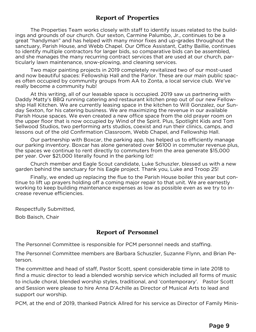#### **Report of Properties**

The Properties Team works closely with staff to identify issues related to the build-<br>ings and grounds of our church. Our sexton, Carmine Palumbo, Jr., continues to be a great "handyman" and has helped with many minor fixes and up-grades throughout the sanctuary, Parish House, and Webb Chapel. Our Office Assistant, Cathy Baillie, continues to identify multiple contractors for larger bids, so comparative bids can be assembled. and she manages the many recurring contract services that are used at our church, particularly lawn maintenance, snow-plowing, and cleaning services.

Two major painting projects in 2019 completely revitalized two of our most-used and now beautiful spaces: Fellowship Hall and the Parlor. These are our main public spaces often occupied by community groups from AA to Zonta, a local service club. We've really become a community hub!

At this writing, all of our leasable space is occupied. 2019 saw us partnering with Daddy Matty's BBQ running catering and restaurant kitchen prep out of our new Fellowship Hall Kitchen. We are currently leasing space in the kitchen to Will Gonzalez, our Sunday Sexton, for his catering business. We are maximizing the revenue in our available Parish House spaces. We even created a new office space from the old prayer room on the upper floor that is now occupied by Wind of the Spirit. Plus, Spotlight Kids and Tom Sellwood Studios, two performing arts studios, coexist and run their clinics, camps, and lessons out of the old Confirmation Classroom, Webb Chapel, and Fellowship Hall.

Our partnership with Boxcar, the parking app, has helped us to efficiently manage our parking inventory. Boxcar has alone generated over \$6100 in commuter revenue plus, the spaces we continue to rent directly to commuters from the area generate \$15,000 per year. Over \$21,000 literally found in the parking lot!

Church member and Eagle Scout candidate, Luke Schuszler, blessed us with a new garden behind the sanctuary for his Eagle project. Thank you, Luke and Troop 25!

Finally, we ended up replacing the flue to the Parish House boiler this year but continue to lift up prayers holding off a coming major repair to that unit. We are earnestly working to keep building maintenance expenses as low as possible even as we try to increase revenue efficiencies. crease revenue efficiencies.

Respectfully Submitted,<br>Bob Baisch. Chair  $\mathcal{L}$  -  $\mathcal{L}$  -  $\mathcal{L}$  -  $\mathcal{L}$  -  $\mathcal{L}$  -  $\mathcal{L}$  -  $\mathcal{L}$  -  $\mathcal{L}$  -  $\mathcal{L}$  -  $\mathcal{L}$  -  $\mathcal{L}$  -  $\mathcal{L}$  -  $\mathcal{L}$  -  $\mathcal{L}$  -  $\mathcal{L}$  -  $\mathcal{L}$  -  $\mathcal{L}$  -  $\mathcal{L}$  -  $\mathcal{L}$  -  $\mathcal{L}$  -

#### **Report of Personnel**

The Personnel Committee is responsible for PCM personnel needs and staffing.

The Personnel Committee members are Barbara Schuszler, Suzanne Flynn, and Brian Peterson.

The committee and head of staff, Pastor Scott, spent considerable time in late 2018 to to include choral, blended worship styles, traditional, and 'contemporary'. Pastor Scott and Session were please to hire Anna D'Achille as Director of Musical Arts to lead and support our worship. support our worship.

PCM, at the end of 2019, thanked Patrick Allred for his service as Director of Family Minis-